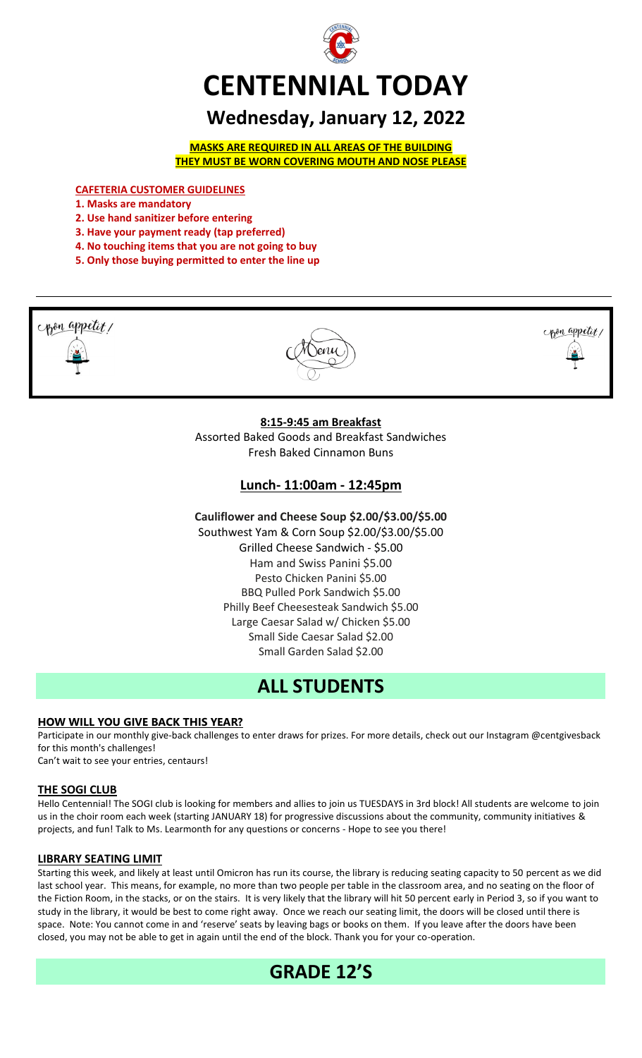

# **Wednesday, January 12, 2022**

**MASKS ARE REQUIRED IN ALL AREAS OF THE BUILDING THEY MUST BE WORN COVERING MOUTH AND NOSE PLEASE**

**CAFETERIA CUSTOMER GUIDELINES**

- **1. Masks are mandatory**
- **2. Use hand sanitizer before entering**
- **3. Have your payment ready (tap preferred)**
- **4. No touching items that you are not going to buy**
- **5. Only those buying permitted to enter the line up**



# **Lunch- 11:00am - 12:45pm**

**Cauliflower and Cheese Soup \$2.00/\$3.00/\$5.00**

Southwest Yam & Corn Soup \$2.00/\$3.00/\$5.00 Grilled Cheese Sandwich - \$5.00 Ham and Swiss Panini \$5.00 Pesto Chicken Panini \$5.00 BBQ Pulled Pork Sandwich \$5.00 Philly Beef Cheesesteak Sandwich \$5.00 Large Caesar Salad w/ Chicken \$5.00 Small Side Caesar Salad \$2.00 Small Garden Salad \$2.00

# **ALL STUDENTS**

#### **HOW WILL YOU GIVE BACK THIS YEAR?**

Participate in our monthly give-back challenges to enter draws for prizes. For more details, check out our Instagram @centgivesback for this month's challenges!

Can't wait to see your entries, centaurs!

#### **THE SOGI CLUB**

Hello Centennial! The SOGI club is looking for members and allies to join us TUESDAYS in 3rd block! All students are welcome to join us in the choir room each week (starting JANUARY 18) for progressive discussions about the community, community initiatives & projects, and fun! Talk to Ms. Learmonth for any questions or concerns - Hope to see you there!

#### **LIBRARY SEATING LIMIT**

Starting this week, and likely at least until Omicron has run its course, the library is reducing seating capacity to 50 percent as we did last school year. This means, for example, no more than two people per table in the classroom area, and no seating on the floor of the Fiction Room, in the stacks, or on the stairs. It is very likely that the library will hit 50 percent early in Period 3, so if you want to study in the library, it would be best to come right away. Once we reach our seating limit, the doors will be closed until there is space. Note: You cannot come in and 'reserve' seats by leaving bags or books on them. If you leave after the doors have been closed, you may not be able to get in again until the end of the block. Thank you for your co-operation.

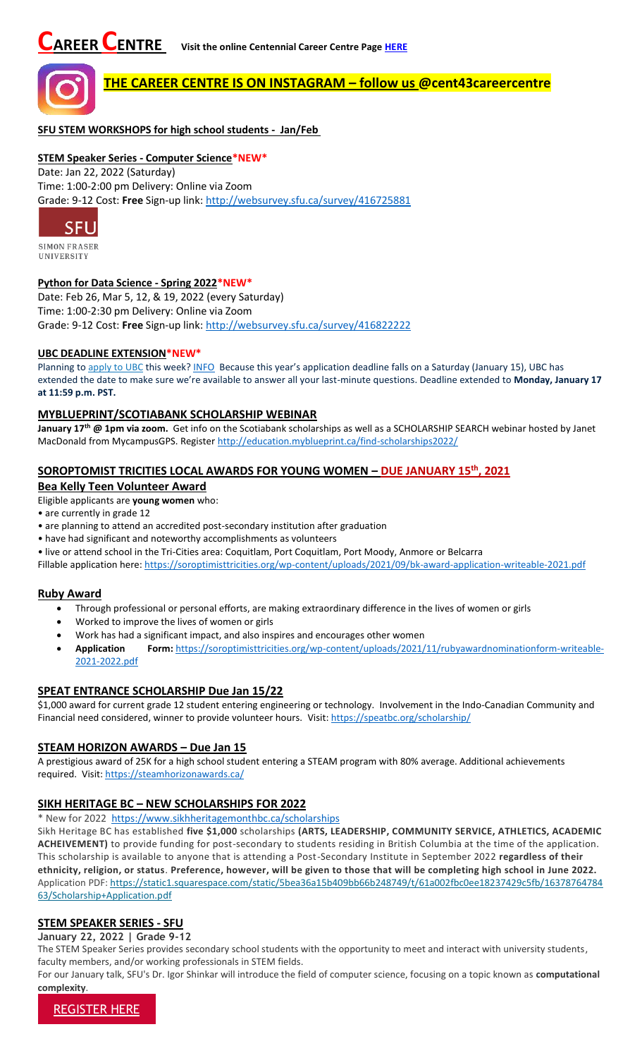

# **THE CAREER CENTRE IS ON INSTAGRAM – follow us @cent43careercentre**

**SFU STEM WORKSHOPS for high school students - Jan/Feb**

#### **STEM Speaker Series - Computer Science\*NEW\***

Date: Jan 22, 2022 (Saturday) Time: 1:00-2:00 pm Delivery: Online via Zoom Grade: 9-12 Cost: **Free** Sign-up link: <http://websurvey.sfu.ca/survey/416725881>



**SIMON FRASER UNIVERSITY** 

#### **Python for Data Science - Spring 2022\*NEW\***

Date: Feb 26, Mar 5, 12, & 19, 2022 (every Saturday) Time: 1:00-2:30 pm Delivery: Online via Zoom Grade: 9-12 Cost: **Free** Sign-up link: <http://websurvey.sfu.ca/survey/416822222>

#### **UBC DEADLINE EXTENSION\*NEW\***

Planning to [apply to UBC](https://ssc.adm.ubc.ca/sscportal/apply.xhtml) this week[? INFO](https://you.ubc.ca/applying-ubc/blog/dates-and-deadlines/application-deadline-extension/#:~:text=Planning%20to%20apply%20to%20UBC,Time%20to%20submit%20your%20application) Because this year's application deadline falls on a Saturday (January 15), UBC has extended the date to make sure we're available to answer all your last-minute questions. Deadline extended to **Monday, January 17 at 11:59 p.m. PST.**

#### **MYBLUEPRINT/SCOTIABANK SCHOLARSHIP WEBINAR**

**January 17th @ 1pm via zoom.** Get info on the Scotiabank scholarships as well as a SCHOLARSHIP SEARCH webinar hosted by Janet MacDonald from MycampusGPS. Registe[r http://education.myblueprint.ca/find-scholarships2022/](http://education.myblueprint.ca/find-scholarships2022/)

## **SOROPTOMIST TRICITIES LOCAL AWARDS FOR YOUNG WOMEN – DUE JANUARY 15th, 2021**

# **Bea Kelly Teen Volunteer Award**

Eligible applicants are **young women** who:

- are currently in grade 12
- are planning to attend an accredited post-secondary institution after graduation
- have had significant and noteworthy accomplishments as volunteers

• live or attend school in the Tri-Cities area: Coquitlam, Port Coquitlam, Port Moody, Anmore or Belcarra

Fillable application here:<https://soroptimisttricities.org/wp-content/uploads/2021/09/bk-award-application-writeable-2021.pdf>

#### **Ruby Award**

- Through professional or personal efforts, are making extraordinary difference in the lives of women or girls
- Worked to improve the lives of women or girls
- Work has had a significant impact, and also inspires and encourages other women
- **Application Form:** [https://soroptimisttricities.org/wp-content/uploads/2021/11/rubyawardnominationform-writeable-](https://soroptimisttricities.org/wp-content/uploads/2021/11/rubyawardnominationform-writeable-2021-2022.pdf)[2021-2022.pdf](https://soroptimisttricities.org/wp-content/uploads/2021/11/rubyawardnominationform-writeable-2021-2022.pdf)

## **SPEAT ENTRANCE SCHOLARSHIP Due Jan 15/22**

\$1,000 award for current grade 12 student entering engineering or technology. Involvement in the Indo-Canadian Community and Financial need considered, winner to provide volunteer hours. Visit[: https://speatbc.org/scholarship/](https://speatbc.org/scholarship/)

#### **STEAM HORIZON AWARDS – Due Jan 15**

A prestigious award of 25K for a high school student entering a STEAM program with 80% average. Additional achievements required. Visit[: https://steamhorizonawards.ca/](https://steamhorizonawards.ca/)

#### **SIKH HERITAGE BC – NEW SCHOLARSHIPS FOR 2022**

\* New for 2022 <https://www.sikhheritagemonthbc.ca/scholarships>

Sikh Heritage BC has established **five \$1,000** scholarships **(ARTS, LEADERSHIP, COMMUNITY SERVICE, ATHLETICS, ACADEMIC ACHEIVEMENT)** to provide funding for post-secondary to students residing in British Columbia at the time of the application. This scholarship is available to anyone that is attending a Post-Secondary Institute in September 2022 **regardless of their ethnicity, religion, or status**. **Preference, however, will be given to those that will be completing high school in June 2022.** Application PDF: [https://static1.squarespace.com/static/5bea36a15b409bb66b248749/t/61a002fbc0ee18237429c5fb/16378764784](https://static1.squarespace.com/static/5bea36a15b409bb66b248749/t/61a002fbc0ee18237429c5fb/1637876478463/Scholarship+Application.pdf) [63/Scholarship+Application.pdf](https://static1.squarespace.com/static/5bea36a15b409bb66b248749/t/61a002fbc0ee18237429c5fb/1637876478463/Scholarship+Application.pdf)

## **STEM SPEAKER SERIES - SFU**

**January 22, 2022 | Grade 9-12**

The STEM Speaker Series provides secondary school students with the opportunity to meet and interact with university students, faculty members, and/or working professionals in STEM fields.

For our January talk, SFU's Dr. Igor Shinkar will introduce the field of computer science, focusing on a topic known as **computational complexity**.

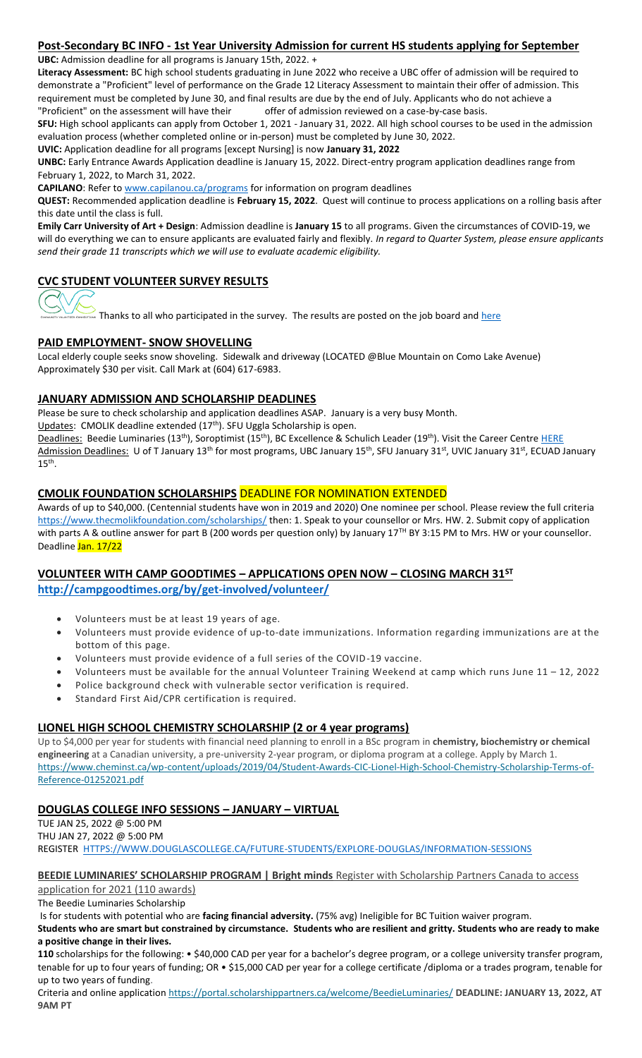#### **Post-Secondary BC INFO - 1st Year University Admission for current HS students applying for September UBC:** Admission deadline for all programs is January 15th, 2022. +

**Literacy Assessment:** BC high school students graduating in June 2022 who receive a UBC offer of admission will be required to demonstrate a "Proficient" level of performance on the Grade 12 Literacy Assessment to maintain their offer of admission. This requirement must be completed by June 30, and final results are due by the end of July. Applicants who do not achieve a "Proficient" on the assessment will have their offer of admission reviewed on a case-by-case basis.

**SFU:** High school applicants can apply from October 1, 2021 - January 31, 2022. All high school courses to be used in the admission evaluation process (whether completed online or in-person) must be completed by June 30, 2022.

**UVIC:** Application deadline for all programs [except Nursing] is now **January 31, 2022**

**UNBC:** Early Entrance Awards Application deadline is January 15, 2022. Direct-entry program application deadlines range from February 1, 2022, to March 31, 2022.

**CAPILANO**: Refer to [www.capilanou.ca/programs](http://www.capilanou.ca/programs) for information on program deadlines

**QUEST:** Recommended application deadline is **February 15, 2022**. Quest will continue to process applications on a rolling basis after this date until the class is full.

**Emily Carr University of Art + Design**: Admission deadline is **January 15** to all programs. Given the circumstances of COVID-19, we will do everything we can to ensure applicants are evaluated fairly and flexibly. *In regard to Quarter System, please ensure applicants send their grade 11 transcripts which we will use to evaluate academic eligibility.*

# **CVC STUDENT VOLUNTEER SURVEY RESULTS**



 $\overline{\phantom{a}}$  Thanks to all who participated in the survey. The results are posted on the job board and  $\overline{\text{here}}$ 

## **PAID EMPLOYMENT- SNOW SHOVELLING**

Local elderly couple seeks snow shoveling. Sidewalk and driveway (LOCATED @Blue Mountain on Como Lake Avenue) Approximately \$30 per visit. Call Mark at (604) 617-6983.

## **JANUARY ADMISSION AND SCHOLARSHIP DEADLINES**

Please be sure to check scholarship and application deadlines ASAP. January is a very busy Month.

Updates: CMOLIK deadline extended (17<sup>th</sup>). SFU Uggla Scholarship is open.

Deadlines: Beedie Luminaries (13<sup>th</sup>), Soroptimist (15<sup>th</sup>), BC Excellence & Schulich Leader (19<sup>th</sup>). Visit the Career Centre [HERE](https://www.sd43.bc.ca/school/centennial/ProgramsServices/CareerCentre/financeawards/Pages/default.aspx#/=) Admission Deadlines: U of T January 13<sup>th</sup> for most programs, UBC January 15<sup>th</sup>, SFU January 31<sup>st</sup>, UVIC January 31<sup>st</sup>, ECUAD January  $15<sup>th</sup>$ .

#### **CMOLIK FOUNDATION SCHOLARSHIPS** DEADLINE FOR NOMINATION EXTENDED

Awards of up to \$40,000. (Centennial students have won in 2019 and 2020) One nominee per school. Please review the full criteria <https://www.thecmolikfoundation.com/scholarships/> then: 1. Speak to your counsellor or Mrs. HW. 2. Submit copy of application with parts A & outline answer for part B (200 words per question only) by January 17<sup>TH</sup> BY 3:15 PM to Mrs. HW or your counsellor. Deadline Jan. 17/22

# **VOLUNTEER WITH CAMP GOODTIMES – APPLICATIONS OPEN NOW – CLOSING MARCH 31ST**

**<http://campgoodtimes.org/by/get-involved/volunteer/>**

- Volunteers must be at least 19 years of age.
- Volunteers must provide evidence of up-to-date immunizations. Information regarding immunizations are at the bottom of this page.
- Volunteers must provide evidence of a full series of the COVID-19 vaccine.
- Volunteers must be available for the annual Volunteer Training Weekend at camp which runs June 11 12, 2022
- Police background check with vulnerable sector verification is required.
- Standard First Aid/CPR certification is required.

# **LIONEL HIGH SCHOOL CHEMISTRY SCHOLARSHIP (2 or 4 year programs)**

Up to \$4,000 per year for students with financial need planning to enroll in a BSc program in **chemistry, biochemistry or chemical engineering** at a Canadian university, a pre-university 2-year program, or diploma program at a college. Apply by March 1. [https://www.cheminst.ca/wp-content/uploads/2019/04/Student-Awards-CIC-Lionel-High-School-Chemistry-Scholarship-Terms-of-](https://www.cheminst.ca/wp-content/uploads/2019/04/Student-Awards-CIC-Lionel-High-School-Chemistry-Scholarship-Terms-of-Reference-01252021.pdf#_blank)[Reference-01252021.pdf](https://www.cheminst.ca/wp-content/uploads/2019/04/Student-Awards-CIC-Lionel-High-School-Chemistry-Scholarship-Terms-of-Reference-01252021.pdf#_blank)

## **DOUGLAS COLLEGE INFO SESSIONS – JANUARY – VIRTUAL**

TUE JAN 25, 2022 @ 5:00 PM THU JAN 27, 2022 @ 5:00 PM REGISTER [HTTPS://WWW.DOUGLASCOLLEGE.CA/FUTURE-STUDENTS/EXPLORE-DOUGLAS/INFORMATION-SESSIONS](https://www.douglascollege.ca/future-students/explore-douglas/information-sessions)

**BEEDIE LUMINARIES' SCHOLARSHIP PROGRAM | Bright minds** [Register with Scholarship Partners Canada to access](https://beedieluminaries.ca/)  [application for 2021 \(110 awards\)](https://beedieluminaries.ca/)

The Beedie Luminaries Scholarship

Is for students with potential who are **facing financial adversity.** (75% avg) Ineligible for BC Tuition waiver program.

**Students who are smart but constrained by circumstance. Students who are resilient and gritty. Students who are ready to make a positive change in their lives.**

**110** scholarships for the following: • \$40,000 CAD per year for a bachelor's degree program, or a college university transfer program, tenable for up to four years of funding; OR • \$15,000 CAD per year for a college certificate /diploma or a trades program, tenable for up to two years of funding.

Criteria and online application <https://portal.scholarshippartners.ca/welcome/BeedieLuminaries/> **DEADLINE: JANUARY 13, 2022, AT 9AM PT**